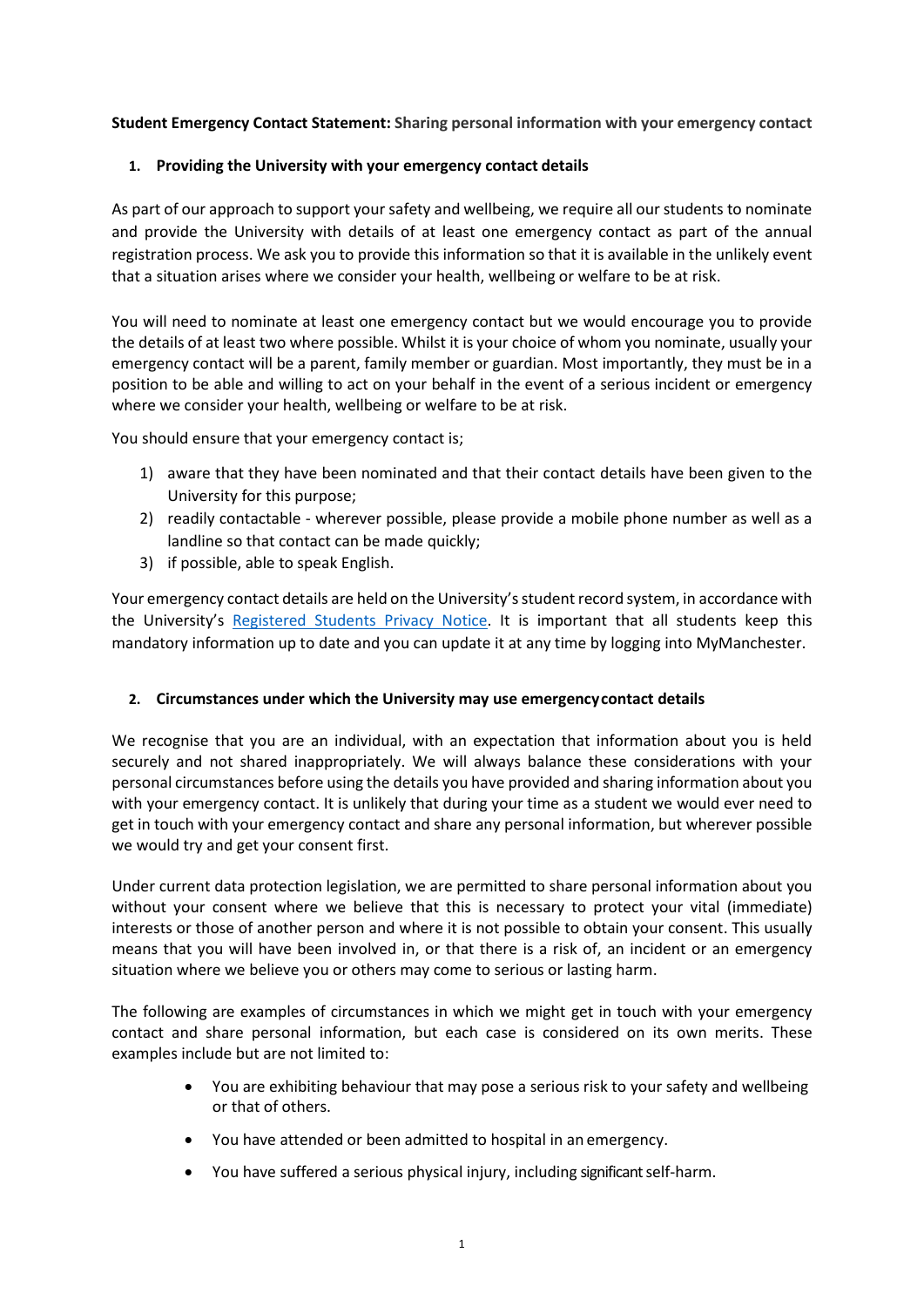## **Student Emergency Contact Statement: Sharing personal information with your emergency contact**

## **1. Providing the University with your emergency contact details**

As part of our approach to support your safety and wellbeing, we require all our students to nominate and provide the University with details of at least one emergency contact as part of the annual registration process. We ask you to provide this information so that it is available in the unlikely event that a situation arises where we consider your health, wellbeing or welfare to be at risk.

You will need to nominate at least one emergency contact but we would encourage you to provide the details of at least two where possible. Whilst it is your choice of whom you nominate, usually your emergency contact will be a parent, family member or guardian. Most importantly, they must be in a position to be able and willing to act on your behalf in the event of a serious incident or emergency where we consider your health, wellbeing or welfare to be at risk.

You should ensure that your emergency contact is;

- 1) aware that they have been nominated and that their contact details have been given to the University for this purpose;
- 2) readily contactable wherever possible, please provide a mobile phone number as well as a landline so that contact can be made quickly;
- 3) if possible, able to speak English.

Your emergency contact details are held on the University's student record system, in accordance with the University's [Registered Students Privacy Notice.](http://www.regulations.manchester.ac.uk/non-academic/data-collection-notice/) It is important that all students keep this mandatory information up to date and you can update it at any time by logging into MyManchester.

## **2. Circumstances under which the University may use emergencycontact details**

We recognise that you are an individual, with an expectation that information about you is held securely and not shared inappropriately. We will always balance these considerations with your personal circumstances before using the details you have provided and sharing information about you with your emergency contact. It is unlikely that during your time as a student we would ever need to get in touch with your emergency contact and share any personal information, but wherever possible we would try and get your consent first.

Under current data protection legislation, we are permitted to share personal information about you without your consent where we believe that this is necessary to protect your vital (immediate) interests or those of another person and where it is not possible to obtain your consent. This usually means that you will have been involved in, or that there is a risk of, an incident or an emergency situation where we believe you or others may come to serious or lasting harm.

The following are examples of circumstances in which we might get in touch with your emergency contact and share personal information, but each case is considered on its own merits. These examples include but are not limited to:

- You are exhibiting behaviour that may pose a serious risk to your safety and wellbeing or that of others.
- You have attended or been admitted to hospital in an emergency.
- You have suffered a serious physical injury, including significant self-harm.